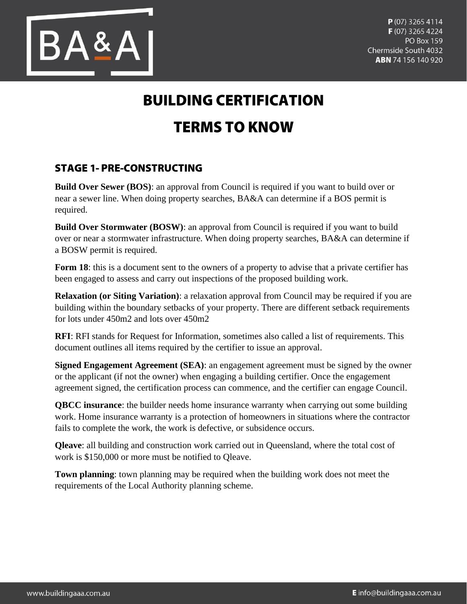

## **BUILDING CERTIFICATION TERMS TO KNOW**

## **STAGE 1- PRE-CONSTRUCTING**

**Build Over Sewer (BOS):** an approval from Council is required if you want to build over or near a sewer line. When doing property searches, BA&A can determine if a BOS permit is required.

**Build Over Stormwater (BOSW)**: an approval from Council is required if you want to build over or near a stormwater infrastructure. When doing property searches, BA&A can determine if a BOSW permit is required.

**Form 18**: this is a document sent to the owners of a property to advise that a private certifier has been engaged to assess and carry out inspections of the proposed building work.

**Relaxation (or Siting Variation)**: a relaxation approval from Council may be required if you are building within the boundary setbacks of your property. There are different setback requirements for lots under 450m2 and lots over 450m2

**RFI**: RFI stands for Request for Information, sometimes also called a list of requirements. This document outlines all items required by the certifier to issue an approval.

**Signed Engagement Agreement (SEA)**: an engagement agreement must be signed by the owner or the applicant (if not the owner) when engaging a building certifier. Once the engagement agreement signed, the certification process can commence, and the certifier can engage Council.

**QBCC insurance**: the builder needs home insurance warranty when carrying out some building work. Home insurance warranty is a protection of homeowners in situations where the contractor fails to complete the work, the work is defective, or subsidence occurs.

**Qleave**: all building and construction work carried out in Queensland, where the total cost of work is \$150,000 or more must be notified to Qleave.

**Town planning**: town planning may be required when the building work does not meet the requirements of the Local Authority planning scheme.